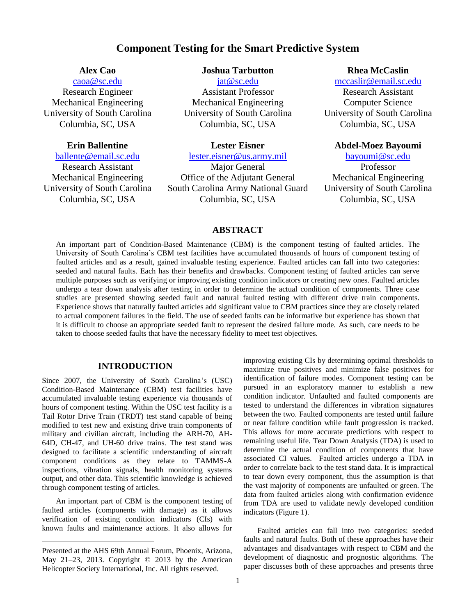# **Component Testing for the Smart Predictive System**

## **Alex Cao**

[caoa@sc.edu](mailto:caoa@sc.edu) Research Engineer Mechanical Engineering University of South Carolina Columbia, SC, USA

### **Erin Ballentine**

[ballente@email.sc.edu](mailto:ballente@email.sc.edu)

Research Assistant Mechanical Engineering University of South Carolina Columbia, SC, USA

### **Joshua Tarbutton**

[jat@sc.edu](mailto:email@emailaddress.com)

Assistant Professor Mechanical Engineering University of South Carolina Columbia, SC, USA

### **Lester Eisner**

[lester.eisner@us.army.mil](mailto:lester.eisner@us.army.mil)

Major General Office of the Adjutant General South Carolina Army National Guard Columbia, SC, USA

#### **Rhea McCaslin**

[mccaslir@email.sc.edu](mailto:mccaslir@email.sc.edu)

Research Assistant Computer Science University of South Carolina Columbia, SC, USA

### **Abdel-Moez Bayoumi**

[bayoumi@sc.edu](mailto:bayoumi@sc.edu)

Professor Mechanical Engineering University of South Carolina Columbia, SC, USA

### **ABSTRACT**

An important part of Condition-Based Maintenance (CBM) is the component testing of faulted articles. The University of South Carolina's CBM test facilities have accumulated thousands of hours of component testing of faulted articles and as a result, gained invaluable testing experience. Faulted articles can fall into two categories: seeded and natural faults. Each has their benefits and drawbacks. Component testing of faulted articles can serve multiple purposes such as verifying or improving existing condition indicators or creating new ones. Faulted articles undergo a tear down analysis after testing in order to determine the actual condition of components. Three case studies are presented showing seeded fault and natural faulted testing with different drive train components. Experience shows that naturally faulted articles add significant value to CBM practices since they are closely related to actual component failures in the field. The use of seeded faults can be informative but experience has shown that it is difficult to choose an appropriate seeded fault to represent the desired failure mode. As such, care needs to be taken to choose seeded faults that have the necessary fidelity to meet test objectives.

#### **INTRODUCTION**

Since 2007, the University of South Carolina's (USC) Condition-Based Maintenance (CBM) test facilities have accumulated invaluable testing experience via thousands of hours of component testing. Within the USC test facility is a Tail Rotor Drive Train (TRDT) test stand capable of being modified to test new and existing drive train components of military and civilian aircraft, including the ARH-70, AH-64D, CH-47, and UH-60 drive trains. The test stand was designed to facilitate a scientific understanding of aircraft component conditions as they relate to TAMMS-A inspections, vibration signals, health monitoring systems output, and other data. This scientific knowledge is achieved through component testing of articles.

An important part of CBM is the component testing of faulted articles (components with damage) as it allows verification of existing condition indicators (CIs) with known faults and maintenance actions. It also allows for

 $\overline{a}$ 

improving existing CIs by determining optimal thresholds to maximize true positives and minimize false positives for identification of failure modes. Component testing can be pursued in an exploratory manner to establish a new condition indicator. Unfaulted and faulted components are tested to understand the differences in vibration signatures between the two. Faulted components are tested until failure or near failure condition while fault progression is tracked. This allows for more accurate predictions with respect to remaining useful life. Tear Down Analysis (TDA) is used to determine the actual condition of components that have associated CI values. Faulted articles undergo a TDA in order to correlate back to the test stand data. It is impractical to tear down every component, thus the assumption is that the vast majority of components are unfaulted or green. The data from faulted articles along with confirmation evidence from TDA are used to validate newly developed condition indicators (Figure 1).

Faulted articles can fall into two categories: seeded faults and natural faults. Both of these approaches have their advantages and disadvantages with respect to CBM and the development of diagnostic and prognostic algorithms. The paper discusses both of these approaches and presents three

Presented at the AHS 69th Annual Forum, Phoenix, Arizona, May 21–23, 2013. Copyright  $\odot$  2013 by the American Helicopter Society International, Inc. All rights reserved.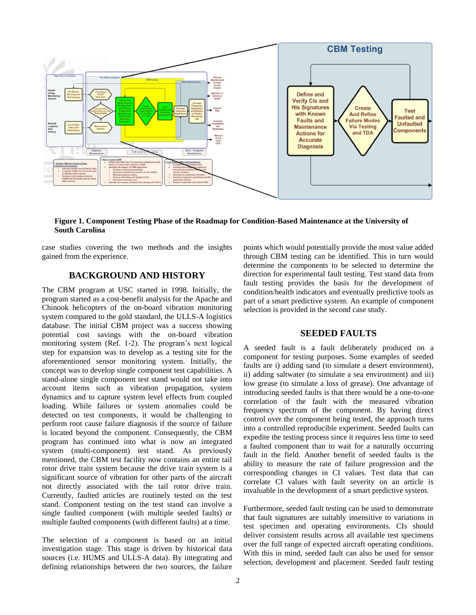

**Figure 1. Component Testing Phase of the Roadmap for Condition-Based Maintenance at the University of South Carolina**

case studies covering the two methods and the insights gained from the experience.

## **BACKGROUND AND HISTORY**

The CBM program at USC started in 1998. Initially, the program started as a cost-benefit analysis for the Apache and Chinook helicopters of the on-board vibration monitoring system compared to the gold standard, the ULLS-A logistics database. The initial CBM project was a success showing potential cost savings with the on-board vibration monitoring system (Ref. 1-2). The program's next logical step for expansion was to develop as a testing site for the aforementioned sensor monitoring system. Initially, the concept was to develop single component test capabilities. A stand-alone single component test stand would not take into account items such as vibration propagation, system dynamics and to capture system level effects from coupled loading. While failures or system anomalies could be detected on test components, it would be challenging to perform root cause failure diagnosis if the source of failure is located beyond the component. Consequently, the CBM program has continued into what is now an integrated system (multi-component) test stand. As previously mentioned, the CBM test facility now contains an entire tail rotor drive train system because the drive train system is a significant source of vibration for other parts of the aircraft not directly associated with the tail rotor drive train. Currently, faulted articles are routinely tested on the test stand. Component testing on the test stand can involve a single faulted component (with multiple seeded faults) or multiple faulted components (with different faults) at a time.

The selection of a component is based on an initial investigation stage. This stage is driven by historical data sources (i.e. HUMS and ULLS-A data). By integrating and defining relationships between the two sources, the failure points which would potentially provide the most value added through CBM testing can be identified. This in turn would determine the components to be selected to determine the direction for experimental fault testing. Test stand data from fault testing provides the basis for the development of condition/health indicators and eventually predictive tools as part of a smart predictive system. An example of component selection is provided in the second case study.

#### **SEEDED FAULTS**

A seeded fault is a fault deliberately produced on a component for testing purposes. Some examples of seeded faults are i) adding sand (to simulate a desert environment), ii) adding saltwater (to simulate a sea environment) and iii) low grease (to simulate a loss of grease). One advantage of introducing seeded faults is that there would be a one-to-one correlation of the fault with the measured vibration frequency spectrum of the component. By having direct control over the component being tested, the approach turns into a controlled reproducible experiment. Seeded faults can expedite the testing process since it requires less time to seed a faulted component than to wait for a naturally occurring fault in the field. Another benefit of seeded faults is the ability to measure the rate of failure progression and the corresponding changes in CI values. Test data that can correlate CI values with fault severity on an article is invaluable in the development of a smart predictive system.

Furthermore, seeded fault testing can be used to demonstrate that fault signatures are suitably insensitive to variations in test specimen and operating environments. CIs should deliver consistent results across all available test specimens over the full range of expected aircraft operating conditions. With this in mind, seeded fault can also be used for sensor selection, development and placement. Seeded fault testing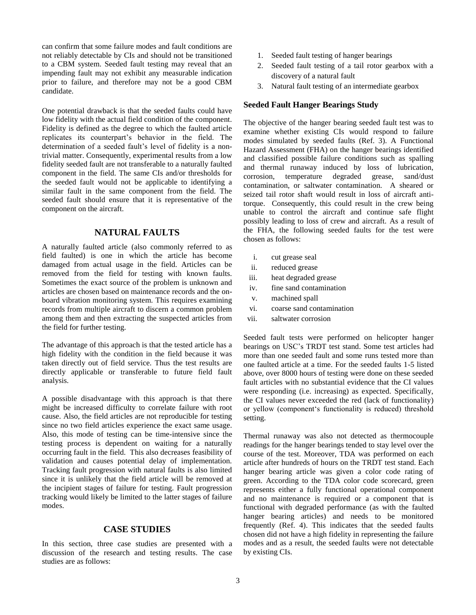can confirm that some failure modes and fault conditions are not reliably detectable by CIs and should not be transitioned to a CBM system. Seeded fault testing may reveal that an impending fault may not exhibit any measurable indication prior to failure, and therefore may not be a good CBM candidate.

One potential drawback is that the seeded faults could have low fidelity with the actual field condition of the component. Fidelity is defined as the degree to which the faulted article replicates its counterpart's behavior in the field. The determination of a seeded fault's level of fidelity is a nontrivial matter. Consequently, experimental results from a low fidelity seeded fault are not transferable to a naturally faulted component in the field. The same CIs and/or thresholds for the seeded fault would not be applicable to identifying a similar fault in the same component from the field. The seeded fault should ensure that it is representative of the component on the aircraft.

### **NATURAL FAULTS**

A naturally faulted article (also commonly referred to as field faulted) is one in which the article has become damaged from actual usage in the field. Articles can be removed from the field for testing with known faults. Sometimes the exact source of the problem is unknown and articles are chosen based on maintenance records and the onboard vibration monitoring system. This requires examining records from multiple aircraft to discern a common problem among them and then extracting the suspected articles from the field for further testing.

The advantage of this approach is that the tested article has a high fidelity with the condition in the field because it was taken directly out of field service. Thus the test results are directly applicable or transferable to future field fault analysis.

A possible disadvantage with this approach is that there might be increased difficulty to correlate failure with root cause. Also, the field articles are not reproducible for testing since no two field articles experience the exact same usage. Also, this mode of testing can be time-intensive since the testing process is dependent on waiting for a naturally occurring fault in the field. This also decreases feasibility of validation and causes potential delay of implementation. Tracking fault progression with natural faults is also limited since it is unlikely that the field article will be removed at the incipient stages of failure for testing. Fault progression tracking would likely be limited to the latter stages of failure modes.

#### **CASE STUDIES**

In this section, three case studies are presented with a discussion of the research and testing results. The case studies are as follows:

- 1. Seeded fault testing of hanger bearings
- 2. Seeded fault testing of a tail rotor gearbox with a discovery of a natural fault
- 3. Natural fault testing of an intermediate gearbox

#### **Seeded Fault Hanger Bearings Study**

The objective of the hanger bearing seeded fault test was to examine whether existing CIs would respond to failure modes simulated by seeded faults (Ref. 3). A Functional Hazard Assessment (FHA) on the hanger bearings identified and classified possible failure conditions such as spalling and thermal runaway induced by loss of lubrication, corrosion, temperature degraded grease, sand/dust contamination, or saltwater contamination. A sheared or seized tail rotor shaft would result in loss of aircraft antitorque. Consequently, this could result in the crew being unable to control the aircraft and continue safe flight possibly leading to loss of crew and aircraft. As a result of the FHA, the following seeded faults for the test were chosen as follows:

- i. cut grease seal
- ii. reduced grease
- iii. heat degraded grease
- iv. fine sand contamination
- v. machined spall
- vi. coarse sand contamination
- vii. saltwater corrosion

Seeded fault tests were performed on helicopter hanger bearings on USC's TRDT test stand. Some test articles had more than one seeded fault and some runs tested more than one faulted article at a time. For the seeded faults 1-5 listed above, over 8000 hours of testing were done on these seeded fault articles with no substantial evidence that the CI values were responding (i.e. increasing) as expected. Specifically, the CI values never exceeded the red (lack of functionality) or yellow (component's functionality is reduced) threshold setting.

Thermal runaway was also not detected as thermocouple readings for the hanger bearings tended to stay level over the course of the test. Moreover, TDA was performed on each article after hundreds of hours on the TRDT test stand. Each hanger bearing article was given a color code rating of green. According to the TDA color code scorecard, green represents either a fully functional operational component and no maintenance is required or a component that is functional with degraded performance (as with the faulted hanger bearing articles) and needs to be monitored frequently (Ref. 4). This indicates that the seeded faults chosen did not have a high fidelity in representing the failure modes and as a result, the seeded faults were not detectable by existing CIs.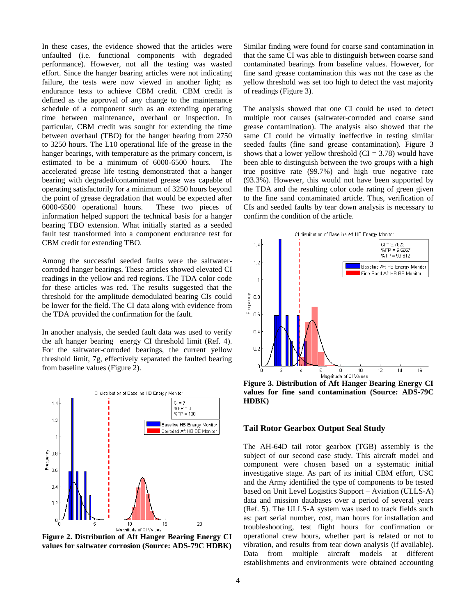In these cases, the evidence showed that the articles were unfaulted (i.e. functional components with degraded performance). However, not all the testing was wasted effort. Since the hanger bearing articles were not indicating failure, the tests were now viewed in another light; as endurance tests to achieve CBM credit. CBM credit is defined as the approval of any change to the maintenance schedule of a component such as an extending operating time between maintenance, overhaul or inspection. In particular, CBM credit was sought for extending the time between overhaul (TBO) for the hanger bearing from 2750 to 3250 hours. The L10 operational life of the grease in the hanger bearings, with temperature as the primary concern, is estimated to be a minimum of 6000-6500 hours. The accelerated grease life testing demonstrated that a hanger bearing with degraded/contaminated grease was capable of operating satisfactorily for a minimum of 3250 hours beyond the point of grease degradation that would be expected after 6000-6500 operational hours. These two pieces of information helped support the technical basis for a hanger bearing TBO extension. What initially started as a seeded fault test transformed into a component endurance test for CBM credit for extending TBO.

Among the successful seeded faults were the saltwatercorroded hanger bearings. These articles showed elevated CI readings in the yellow and red regions. The TDA color code for these articles was red. The results suggested that the threshold for the amplitude demodulated bearing CIs could be lower for the field. The CI data along with evidence from the TDA provided the confirmation for the fault.

In another analysis, the seeded fault data was used to verify the aft hanger bearing energy CI threshold limit (Ref. 4). For the saltwater-corroded bearings, the current yellow threshold limit, 7g, effectively separated the faulted bearing from baseline values (Figure 2).



**Figure 2. Distribution of Aft Hanger Bearing Energy CI values for saltwater corrosion (Source: ADS-79C HDBK)**

Similar finding were found for coarse sand contamination in that the same CI was able to distinguish between coarse sand contaminated bearings from baseline values. However, for fine sand grease contamination this was not the case as the yellow threshold was set too high to detect the vast majority of readings (Figure 3).

The analysis showed that one CI could be used to detect multiple root causes (saltwater-corroded and coarse sand grease contamination). The analysis also showed that the same CI could be virtually ineffective in testing similar seeded faults (fine sand grease contamination). Figure 3 shows that a lower yellow threshold  $(CI = 3.78)$  would have been able to distinguish between the two groups with a high true positive rate (99.7%) and high true negative rate (93.3%). However, this would not have been supported by the TDA and the resulting color code rating of green given to the fine sand contaminated article. Thus, verification of CIs and seeded faults by tear down analysis is necessary to confirm the condition of the article.



**Figure 3. Distribution of Aft Hanger Bearing Energy CI values for fine sand contamination (Source: ADS-79C HDBK)**

#### **Tail Rotor Gearbox Output Seal Study**

The AH-64D tail rotor gearbox (TGB) assembly is the subject of our second case study. This aircraft model and component were chosen based on a systematic initial investigative stage. As part of its initial CBM effort, USC and the Army identified the type of components to be tested based on Unit Level Logistics Support – Aviation (ULLS-A) data and mission databases over a period of several years (Ref. 5). The ULLS-A system was used to track fields such as: part serial number, cost, man hours for installation and troubleshooting, test flight hours for confirmation or operational crew hours, whether part is related or not to vibration, and results from tear down analysis (if available). Data from multiple aircraft models at different establishments and environments were obtained accounting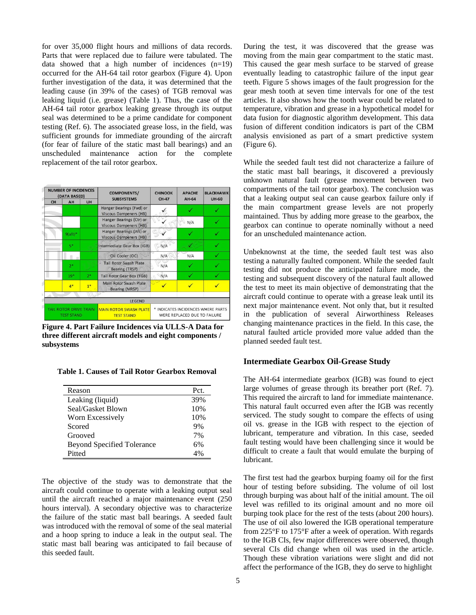for over 35,000 flight hours and millions of data records. Parts that were replaced due to failure were tabulated. The data showed that a high number of incidences (n=19) occurred for the AH-64 tail rotor gearbox (Figure 4). Upon further investigation of the data, it was determined that the leading cause (in 39% of the cases) of TGB removal was leaking liquid (i.e. grease) (Table 1). Thus, the case of the AH-64 tail rotor gearbox leaking grease through its output seal was determined to be a prime candidate for component testing (Ref. 6). The associated grease loss, in the field, was sufficient grounds for immediate grounding of the aircraft (for fear of failure of the static mast ball bearings) and an unscheduled maintenance action for the complete replacement of the tail rotor gearbox.

| <b>NUMBER OF INCIDENCES</b><br>(DATA BASED)        |           |      | <b>COMPONENTS/</b><br><b>SUBSYSTEMS</b>                   | <b>CHINOOK</b><br>CH-47                                            | <b>APACHE</b><br>AH-64 | <b>BLACKHAWK</b> |
|----------------------------------------------------|-----------|------|-----------------------------------------------------------|--------------------------------------------------------------------|------------------------|------------------|
| CH                                                 | AH        | UH   |                                                           |                                                                    |                        | <b>UH-60</b>     |
|                                                    |           |      | Hanger Bearings (Fwd) or<br><b>Viscous Dampeners (HB)</b> |                                                                    |                        | ✓                |
|                                                    |           |      | Hanger Bearings (Ctr) or<br><b>Viscous Dampeners (HB)</b> |                                                                    | N/A                    | ✓                |
|                                                    | $9(aff)*$ |      | Hanger Bearings (Aft) or<br>Viscous Dampeners (HB)        |                                                                    |                        |                  |
|                                                    | $5*$      |      | Intermediate Gear Box (IGB)                               | N/A                                                                |                        |                  |
|                                                    |           |      | Oil Cooler (OC)                                           | N/A                                                                | N/A                    | √                |
|                                                    | $2*$      |      | <b>Tail Rotor Swash Plate</b><br>Bearing (TRSP)           | N/A                                                                |                        |                  |
|                                                    | $19*$     | $2*$ | Tail Rotor Gear Box (TGB)                                 | N/A                                                                |                        | √                |
|                                                    | $4*$      | $1*$ | Main Rotor Swash Plate<br><b>Bearing (MRSP)</b>           | ✓                                                                  |                        |                  |
|                                                    |           |      |                                                           |                                                                    |                        |                  |
|                                                    |           |      | LEGEND                                                    |                                                                    |                        |                  |
| <b>TAIL ROTOR DRIVE TRAIN</b><br><b>TEST STAND</b> |           |      | <b>MAIN ROTOR SWASH PLATE</b><br><b>TEST STAND</b>        | * INDICATES INCIDENCES WHERE PARTS<br>WERE REPLACED DUE TO FAILURE |                        |                  |

**Figure 4. Part Failure Incidences via ULLS-A Data for three different aircraft models and eight components / subsystems**

|  |  |  | <b>Table 1. Causes of Tail Rotor Gearbox Removal</b> |  |  |
|--|--|--|------------------------------------------------------|--|--|
|--|--|--|------------------------------------------------------|--|--|

| Reason                            | Pct. |
|-----------------------------------|------|
| Leaking (liquid)                  | 39%  |
| Seal/Gasket Blown                 | 10%  |
| Worn Excessively                  | 10%  |
| Scored                            | 9%   |
| Grooved                           | 7%   |
| <b>Beyond Specified Tolerance</b> | 6%   |
| Pitted                            | 4%   |

The objective of the study was to demonstrate that the aircraft could continue to operate with a leaking output seal until the aircraft reached a major maintenance event (250 hours interval). A secondary objective was to characterize the failure of the static mast ball bearings. A seeded fault was introduced with the removal of some of the seal material and a hoop spring to induce a leak in the output seal. The static mast ball bearing was anticipated to fail because of this seeded fault.

During the test, it was discovered that the grease was moving from the main gear compartment to the static mast. This caused the gear mesh surface to be starved of grease eventually leading to catastrophic failure of the input gear teeth. Figure 5 shows images of the fault progression for the gear mesh tooth at seven time intervals for one of the test articles. It also shows how the tooth wear could be related to temperature, vibration and grease in a hypothetical model for data fusion for diagnostic algorithm development. This data fusion of different condition indicators is part of the CBM analysis envisioned as part of a smart predictive system (Figure 6).

While the seeded fault test did not characterize a failure of the static mast ball bearings, it discovered a previously unknown natural fault (grease movement between two compartments of the tail rotor gearbox). The conclusion was that a leaking output seal can cause gearbox failure only if the main compartment grease levels are not properly maintained. Thus by adding more grease to the gearbox, the gearbox can continue to operate nominally without a need for an unscheduled maintenance action.

Unbeknownst at the time, the seeded fault test was also testing a naturally faulted component. While the seeded fault testing did not produce the anticipated failure mode, the testing and subsequent discovery of the natural fault allowed the test to meet its main objective of demonstrating that the aircraft could continue to operate with a grease leak until its next major maintenance event. Not only that, but it resulted in the publication of several Airworthiness Releases changing maintenance practices in the field. In this case, the natural faulted article provided more value added than the planned seeded fault test.

### **Intermediate Gearbox Oil-Grease Study**

The AH-64 intermediate gearbox (IGB) was found to eject large volumes of grease through its breather port (Ref. 7). This required the aircraft to land for immediate maintenance. This natural fault occurred even after the IGB was recently serviced. The study sought to compare the effects of using oil vs. grease in the IGB with respect to the ejection of lubricant, temperature and vibration. In this case, seeded fault testing would have been challenging since it would be difficult to create a fault that would emulate the burping of lubricant.

The first test had the gearbox burping foamy oil for the first hour of testing before subsiding. The volume of oil lost through burping was about half of the initial amount. The oil level was refilled to its original amount and no more oil burping took place for the rest of the tests (about 200 hours). The use of oil also lowered the IGB operational temperature from 225°F to 175°F after a week of operation. With regards to the IGB CIs, few major differences were observed, though several CIs did change when oil was used in the article. Though these vibration variations were slight and did not affect the performance of the IGB, they do serve to highlight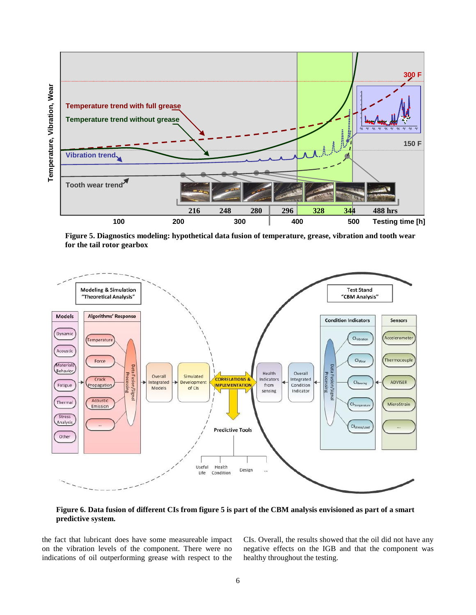

for the tail rotor gearbox **Figure 5. Diagnostics modeling: hypothetical data fusion of temperature, grease, vibration and tooth wear** 



**Figure 6. Data fusion of different CIs from figure 5 is part of the CBM analysis envisioned as part of a smart predictive system.**

the fact that lubricant does have some measureable impact on the vibration levels of the component. There were no indications of oil outperforming grease with respect to the

CIs. Overall, the results showed that the oil did not have any negative effects on the IGB and that the component was healthy throughout the testing.